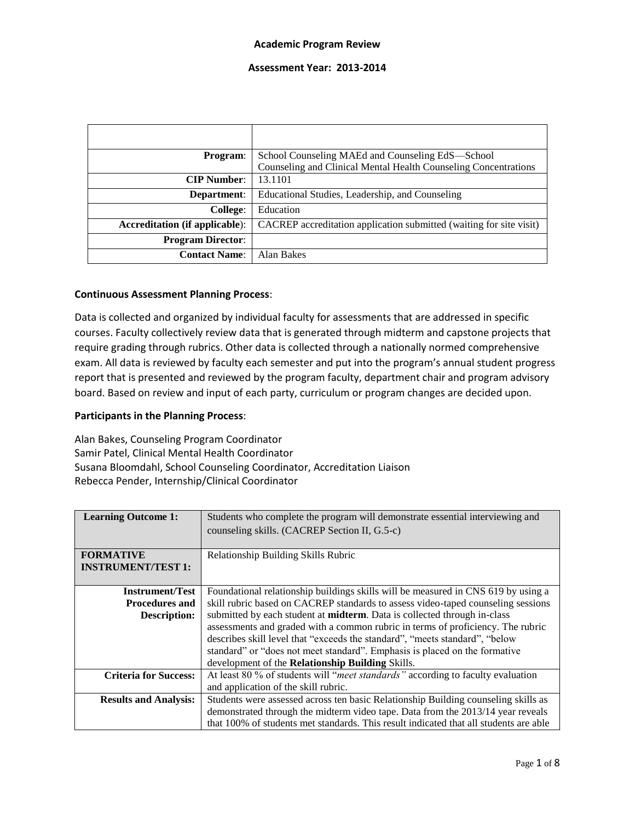### **Assessment Year: 2013-2014**

| <b>Program:</b>                       | School Counseling MAEd and Counseling EdS-School<br>Counseling and Clinical Mental Health Counseling Concentrations |
|---------------------------------------|---------------------------------------------------------------------------------------------------------------------|
| <b>CIP Number:</b>                    | 13.1101                                                                                                             |
| Department:                           | Educational Studies, Leadership, and Counseling                                                                     |
| College:                              | Education                                                                                                           |
| <b>Accreditation (if applicable):</b> | CACREP accreditation application submitted (waiting for site visit)                                                 |
| <b>Program Director:</b>              |                                                                                                                     |
| <b>Contact Name:</b>                  | Alan Bakes                                                                                                          |

#### **Continuous Assessment Planning Process**:

Data is collected and organized by individual faculty for assessments that are addressed in specific courses. Faculty collectively review data that is generated through midterm and capstone projects that require grading through rubrics. Other data is collected through a nationally normed comprehensive exam. All data is reviewed by faculty each semester and put into the program's annual student progress report that is presented and reviewed by the program faculty, department chair and program advisory board. Based on review and input of each party, curriculum or program changes are decided upon.

### **Participants in the Planning Process**:

Alan Bakes, Counseling Program Coordinator Samir Patel, Clinical Mental Health Coordinator Susana Bloomdahl, School Counseling Coordinator, Accreditation Liaison Rebecca Pender, Internship/Clinical Coordinator

| <b>Learning Outcome 1:</b>   | Students who complete the program will demonstrate essential interviewing and         |
|------------------------------|---------------------------------------------------------------------------------------|
|                              | counseling skills. (CACREP Section II, G.5-c)                                         |
|                              |                                                                                       |
| <b>FORMATIVE</b>             | Relationship Building Skills Rubric                                                   |
| <b>INSTRUMENT/TEST 1:</b>    |                                                                                       |
|                              |                                                                                       |
| <b>Instrument/Test</b>       | Foundational relationship buildings skills will be measured in CNS 619 by using a     |
| <b>Procedures and</b>        | skill rubric based on CACREP standards to assess video-taped counseling sessions      |
| <b>Description:</b>          | submitted by each student at <b>midterm</b> . Data is collected through in-class      |
|                              | assessments and graded with a common rubric in terms of proficiency. The rubric       |
|                              | describes skill level that "exceeds the standard", "meets standard", "below           |
|                              | standard" or "does not meet standard". Emphasis is placed on the formative            |
|                              | development of the Relationship Building Skills.                                      |
| <b>Criteria for Success:</b> | At least 80 % of students will "meet standards" according to faculty evaluation       |
|                              | and application of the skill rubric.                                                  |
| <b>Results and Analysis:</b> | Students were assessed across ten basic Relationship Building counseling skills as    |
|                              | demonstrated through the midterm video tape. Data from the 2013/14 year reveals       |
|                              | that 100% of students met standards. This result indicated that all students are able |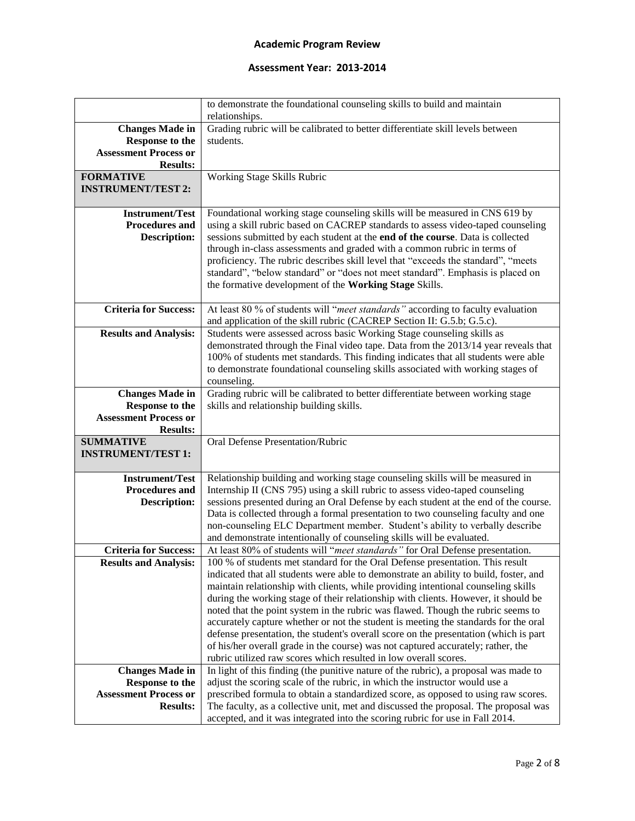|                                              | to demonstrate the foundational counseling skills to build and maintain                                                                                              |
|----------------------------------------------|----------------------------------------------------------------------------------------------------------------------------------------------------------------------|
|                                              | relationships.                                                                                                                                                       |
| <b>Changes Made in</b>                       | Grading rubric will be calibrated to better differentiate skill levels between                                                                                       |
| <b>Response to the</b>                       | students.                                                                                                                                                            |
| <b>Assessment Process or</b>                 |                                                                                                                                                                      |
| <b>Results:</b>                              |                                                                                                                                                                      |
| <b>FORMATIVE</b>                             | Working Stage Skills Rubric                                                                                                                                          |
| <b>INSTRUMENT/TEST 2:</b>                    |                                                                                                                                                                      |
|                                              |                                                                                                                                                                      |
| <b>Instrument/Test</b>                       | Foundational working stage counseling skills will be measured in CNS 619 by                                                                                          |
| <b>Procedures and</b><br><b>Description:</b> | using a skill rubric based on CACREP standards to assess video-taped counseling<br>sessions submitted by each student at the end of the course. Data is collected    |
|                                              | through in-class assessments and graded with a common rubric in terms of                                                                                             |
|                                              | proficiency. The rubric describes skill level that "exceeds the standard", "meets                                                                                    |
|                                              | standard", "below standard" or "does not meet standard". Emphasis is placed on                                                                                       |
|                                              | the formative development of the Working Stage Skills.                                                                                                               |
|                                              |                                                                                                                                                                      |
| <b>Criteria for Success:</b>                 | At least 80 % of students will "meet standards" according to faculty evaluation                                                                                      |
|                                              | and application of the skill rubric (CACREP Section II: G.5.b; G.5.c).                                                                                               |
| <b>Results and Analysis:</b>                 | Students were assessed across basic Working Stage counseling skills as                                                                                               |
|                                              | demonstrated through the Final video tape. Data from the 2013/14 year reveals that                                                                                   |
|                                              | 100% of students met standards. This finding indicates that all students were able                                                                                   |
|                                              | to demonstrate foundational counseling skills associated with working stages of                                                                                      |
|                                              | counseling.                                                                                                                                                          |
| <b>Changes Made in</b>                       | Grading rubric will be calibrated to better differentiate between working stage                                                                                      |
| <b>Response to the</b>                       | skills and relationship building skills.                                                                                                                             |
| <b>Assessment Process or</b>                 |                                                                                                                                                                      |
| <b>Results:</b>                              |                                                                                                                                                                      |
| <b>SUMMATIVE</b>                             | Oral Defense Presentation/Rubric                                                                                                                                     |
| <b>INSTRUMENT/TEST 1:</b>                    |                                                                                                                                                                      |
| <b>Instrument/Test</b>                       | Relationship building and working stage counseling skills will be measured in                                                                                        |
| <b>Procedures and</b>                        | Internship II (CNS 795) using a skill rubric to assess video-taped counseling                                                                                        |
| <b>Description:</b>                          | sessions presented during an Oral Defense by each student at the end of the course.                                                                                  |
|                                              | Data is collected through a formal presentation to two counseling faculty and one                                                                                    |
|                                              | non-counseling ELC Department member. Student's ability to verbally describe                                                                                         |
|                                              | and demonstrate intentionally of counseling skills will be evaluated.                                                                                                |
| <b>Criteria for Success:</b>                 | At least 80% of students will "meet standards" for Oral Defense presentation.                                                                                        |
| <b>Results and Analysis:</b>                 | 100 % of students met standard for the Oral Defense presentation. This result                                                                                        |
|                                              | indicated that all students were able to demonstrate an ability to build, foster, and                                                                                |
|                                              | maintain relationship with clients, while providing intentional counseling skills                                                                                    |
|                                              | during the working stage of their relationship with clients. However, it should be                                                                                   |
|                                              | noted that the point system in the rubric was flawed. Though the rubric seems to                                                                                     |
|                                              | accurately capture whether or not the student is meeting the standards for the oral                                                                                  |
|                                              | defense presentation, the student's overall score on the presentation (which is part                                                                                 |
|                                              | of his/her overall grade in the course) was not captured accurately; rather, the                                                                                     |
|                                              | rubric utilized raw scores which resulted in low overall scores.                                                                                                     |
| <b>Changes Made in</b>                       | In light of this finding (the punitive nature of the rubric), a proposal was made to                                                                                 |
|                                              |                                                                                                                                                                      |
| <b>Response to the</b>                       | adjust the scoring scale of the rubric, in which the instructor would use a                                                                                          |
| <b>Assessment Process or</b>                 | prescribed formula to obtain a standardized score, as opposed to using raw scores.                                                                                   |
| <b>Results:</b>                              | The faculty, as a collective unit, met and discussed the proposal. The proposal was<br>accepted, and it was integrated into the scoring rubric for use in Fall 2014. |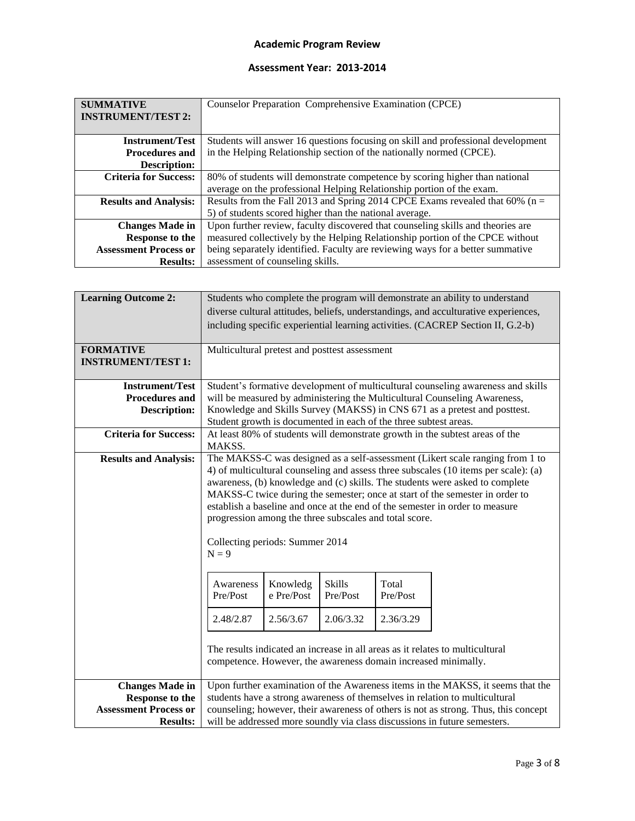| <b>SUMMATIVE</b>             | Counselor Preparation Comprehensive Examination (CPCE)                           |
|------------------------------|----------------------------------------------------------------------------------|
| <b>INSTRUMENT/TEST 2:</b>    |                                                                                  |
|                              |                                                                                  |
| <b>Instrument/Test</b>       | Students will answer 16 questions focusing on skill and professional development |
| <b>Procedures and</b>        | in the Helping Relationship section of the nationally normed (CPCE).             |
| <b>Description:</b>          |                                                                                  |
| <b>Criteria for Success:</b> | 80% of students will demonstrate competence by scoring higher than national      |
|                              | average on the professional Helping Relationship portion of the exam.            |
| <b>Results and Analysis:</b> | Results from the Fall 2013 and Spring 2014 CPCE Exams revealed that 60% ( $n =$  |
|                              | 5) of students scored higher than the national average.                          |
| <b>Changes Made in</b>       | Upon further review, faculty discovered that counseling skills and theories are  |
| <b>Response to the</b>       | measured collectively by the Helping Relationship portion of the CPCE without    |
| <b>Assessment Process or</b> | being separately identified. Faculty are reviewing ways for a better summative   |
| <b>Results:</b>              | assessment of counseling skills.                                                 |

| <b>Learning Outcome 2:</b>   |                                                                                                                                                                    |            |           |           | Students who complete the program will demonstrate an ability to understand         |
|------------------------------|--------------------------------------------------------------------------------------------------------------------------------------------------------------------|------------|-----------|-----------|-------------------------------------------------------------------------------------|
|                              |                                                                                                                                                                    |            |           |           | diverse cultural attitudes, beliefs, understandings, and acculturative experiences, |
|                              |                                                                                                                                                                    |            |           |           | including specific experiential learning activities. (CACREP Section II, G.2-b)     |
| <b>FORMATIVE</b>             | Multicultural pretest and posttest assessment                                                                                                                      |            |           |           |                                                                                     |
| <b>INSTRUMENT/TEST 1:</b>    |                                                                                                                                                                    |            |           |           |                                                                                     |
| <b>Instrument/Test</b>       |                                                                                                                                                                    |            |           |           | Student's formative development of multicultural counseling awareness and skills    |
| <b>Procedures and</b>        |                                                                                                                                                                    |            |           |           | will be measured by administering the Multicultural Counseling Awareness,           |
| <b>Description:</b>          |                                                                                                                                                                    |            |           |           | Knowledge and Skills Survey (MAKSS) in CNS 671 as a pretest and posttest.           |
|                              | Student growth is documented in each of the three subtest areas.                                                                                                   |            |           |           |                                                                                     |
| <b>Criteria for Success:</b> | At least 80% of students will demonstrate growth in the subtest areas of the<br>MAKSS.                                                                             |            |           |           |                                                                                     |
| <b>Results and Analysis:</b> |                                                                                                                                                                    |            |           |           | The MAKSS-C was designed as a self-assessment (Likert scale ranging from 1 to       |
|                              |                                                                                                                                                                    |            |           |           | 4) of multicultural counseling and assess three subscales (10 items per scale): (a) |
|                              |                                                                                                                                                                    |            |           |           | awareness, (b) knowledge and (c) skills. The students were asked to complete        |
|                              |                                                                                                                                                                    |            |           |           | MAKSS-C twice during the semester; once at start of the semester in order to        |
|                              |                                                                                                                                                                    |            |           |           | establish a baseline and once at the end of the semester in order to measure        |
|                              | progression among the three subscales and total score.                                                                                                             |            |           |           |                                                                                     |
|                              |                                                                                                                                                                    |            |           |           |                                                                                     |
|                              | Collecting periods: Summer 2014<br>$N = 9$                                                                                                                         |            |           |           |                                                                                     |
|                              |                                                                                                                                                                    |            |           |           |                                                                                     |
|                              |                                                                                                                                                                    |            |           |           |                                                                                     |
|                              | Awareness                                                                                                                                                          | Knowledg   | Skills    | Total     |                                                                                     |
|                              | Pre/Post                                                                                                                                                           | e Pre/Post | Pre/Post  | Pre/Post  |                                                                                     |
|                              | 2.48/2.87                                                                                                                                                          | 2.56/3.67  | 2.06/3.32 | 2.36/3.29 |                                                                                     |
|                              |                                                                                                                                                                    |            |           |           |                                                                                     |
|                              |                                                                                                                                                                    |            |           |           |                                                                                     |
|                              |                                                                                                                                                                    |            |           |           | The results indicated an increase in all areas as it relates to multicultural       |
|                              |                                                                                                                                                                    |            |           |           | competence. However, the awareness domain increased minimally.                      |
| <b>Changes Made in</b>       |                                                                                                                                                                    |            |           |           | Upon further examination of the Awareness items in the MAKSS, it seems that the     |
| Response to the              |                                                                                                                                                                    |            |           |           |                                                                                     |
| <b>Assessment Process or</b> | students have a strong awareness of themselves in relation to multicultural<br>counseling; however, their awareness of others is not as strong. Thus, this concept |            |           |           |                                                                                     |
|                              |                                                                                                                                                                    |            |           |           |                                                                                     |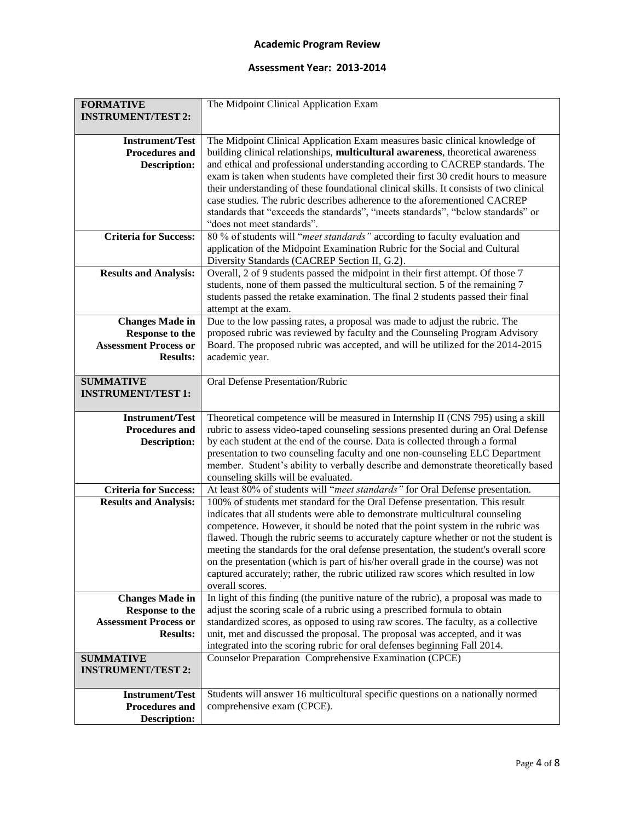| <b>FORMATIVE</b><br><b>INSTRUMENT/TEST 2:</b> | The Midpoint Clinical Application Exam                                                 |
|-----------------------------------------------|----------------------------------------------------------------------------------------|
|                                               |                                                                                        |
| <b>Instrument/Test</b>                        | The Midpoint Clinical Application Exam measures basic clinical knowledge of            |
| <b>Procedures and</b>                         | building clinical relationships, multicultural awareness, theoretical awareness        |
| <b>Description:</b>                           | and ethical and professional understanding according to CACREP standards. The          |
|                                               | exam is taken when students have completed their first 30 credit hours to measure      |
|                                               | their understanding of these foundational clinical skills. It consists of two clinical |
|                                               | case studies. The rubric describes adherence to the aforementioned CACREP              |
|                                               | standards that "exceeds the standards", "meets standards", "below standards" or        |
|                                               | "does not meet standards".                                                             |
| <b>Criteria for Success:</b>                  | 80 % of students will "meet standards" according to faculty evaluation and             |
|                                               | application of the Midpoint Examination Rubric for the Social and Cultural             |
|                                               | Diversity Standards (CACREP Section II, G.2).                                          |
| <b>Results and Analysis:</b>                  | Overall, 2 of 9 students passed the midpoint in their first attempt. Of those 7        |
|                                               | students, none of them passed the multicultural section. 5 of the remaining 7          |
|                                               | students passed the retake examination. The final 2 students passed their final        |
|                                               | attempt at the exam.                                                                   |
| <b>Changes Made in</b>                        | Due to the low passing rates, a proposal was made to adjust the rubric. The            |
| <b>Response to the</b>                        | proposed rubric was reviewed by faculty and the Counseling Program Advisory            |
| <b>Assessment Process or</b>                  | Board. The proposed rubric was accepted, and will be utilized for the 2014-2015        |
| <b>Results:</b>                               | academic year.                                                                         |
|                                               |                                                                                        |
| <b>SUMMATIVE</b>                              | Oral Defense Presentation/Rubric                                                       |
| <b>INSTRUMENT/TEST 1:</b>                     |                                                                                        |
|                                               |                                                                                        |
| <b>Instrument/Test</b>                        | Theoretical competence will be measured in Internship II (CNS 795) using a skill       |
| <b>Procedures and</b>                         | rubric to assess video-taped counseling sessions presented during an Oral Defense      |
| <b>Description:</b>                           | by each student at the end of the course. Data is collected through a formal           |
|                                               | presentation to two counseling faculty and one non-counseling ELC Department           |
|                                               | member. Student's ability to verbally describe and demonstrate theoretically based     |
|                                               | counseling skills will be evaluated.                                                   |
| <b>Criteria for Success:</b>                  | At least 80% of students will "meet standards" for Oral Defense presentation.          |
| <b>Results and Analysis:</b>                  | 100% of students met standard for the Oral Defense presentation. This result           |
|                                               | indicates that all students were able to demonstrate multicultural counseling          |
|                                               | competence. However, it should be noted that the point system in the rubric was        |
|                                               | flawed. Though the rubric seems to accurately capture whether or not the student is    |
|                                               | meeting the standards for the oral defense presentation, the student's overall score   |
|                                               | on the presentation (which is part of his/her overall grade in the course) was not     |
|                                               | captured accurately; rather, the rubric utilized raw scores which resulted in low      |
|                                               | overall scores.                                                                        |
| <b>Changes Made in</b>                        | In light of this finding (the punitive nature of the rubric), a proposal was made to   |
| <b>Response to the</b>                        | adjust the scoring scale of a rubric using a prescribed formula to obtain              |
| <b>Assessment Process or</b>                  | standardized scores, as opposed to using raw scores. The faculty, as a collective      |
| <b>Results:</b>                               | unit, met and discussed the proposal. The proposal was accepted, and it was            |
|                                               | integrated into the scoring rubric for oral defenses beginning Fall 2014.              |
| <b>SUMMATIVE</b>                              | Counselor Preparation Comprehensive Examination (CPCE)                                 |
| <b>INSTRUMENT/TEST 2:</b>                     |                                                                                        |
|                                               |                                                                                        |
| <b>Instrument/Test</b>                        | Students will answer 16 multicultural specific questions on a nationally normed        |
|                                               |                                                                                        |
| <b>Procedures and</b><br><b>Description:</b>  | comprehensive exam (CPCE).                                                             |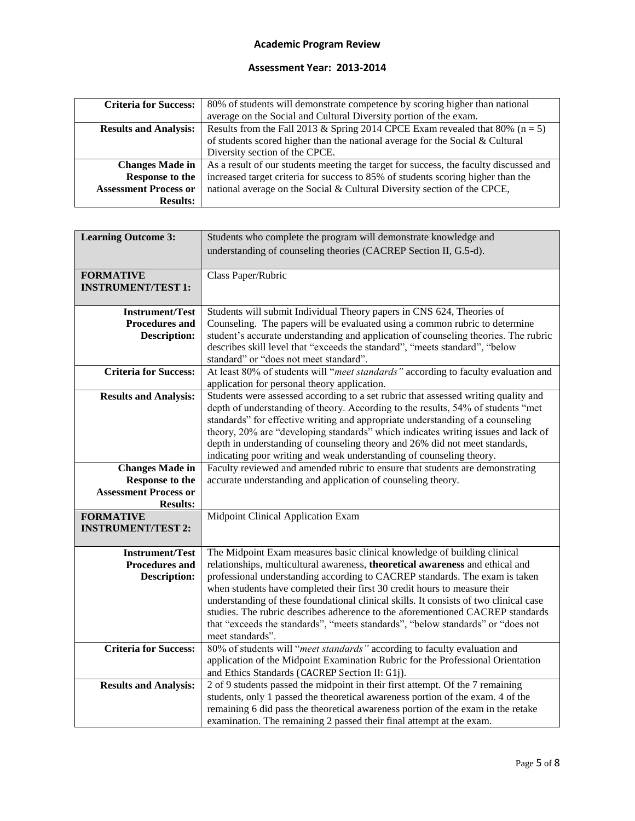| <b>Criteria for Success:</b> | 80% of students will demonstrate competence by scoring higher than national           |
|------------------------------|---------------------------------------------------------------------------------------|
|                              | average on the Social and Cultural Diversity portion of the exam.                     |
| <b>Results and Analysis:</b> | Results from the Fall 2013 & Spring 2014 CPCE Exam revealed that 80% ( $n = 5$ )      |
|                              | of students scored higher than the national average for the Social $&$ Cultural       |
|                              | Diversity section of the CPCE.                                                        |
| <b>Changes Made in</b>       | As a result of our students meeting the target for success, the faculty discussed and |
| <b>Response to the</b>       | increased target criteria for success to 85% of students scoring higher than the      |
| <b>Assessment Process or</b> | national average on the Social & Cultural Diversity section of the CPCE,              |
| <b>Results:</b>              |                                                                                       |

| <b>Learning Outcome 3:</b>   | Students who complete the program will demonstrate knowledge and                                                                                         |  |
|------------------------------|----------------------------------------------------------------------------------------------------------------------------------------------------------|--|
|                              | understanding of counseling theories (CACREP Section II, G.5-d).                                                                                         |  |
|                              |                                                                                                                                                          |  |
| <b>FORMATIVE</b>             | Class Paper/Rubric                                                                                                                                       |  |
| <b>INSTRUMENT/TEST 1:</b>    |                                                                                                                                                          |  |
|                              |                                                                                                                                                          |  |
| <b>Instrument/Test</b>       | Students will submit Individual Theory papers in CNS 624, Theories of                                                                                    |  |
| <b>Procedures and</b>        | Counseling. The papers will be evaluated using a common rubric to determine                                                                              |  |
| <b>Description:</b>          | student's accurate understanding and application of counseling theories. The rubric                                                                      |  |
|                              | describes skill level that "exceeds the standard", "meets standard", "below                                                                              |  |
|                              | standard" or "does not meet standard".                                                                                                                   |  |
| <b>Criteria for Success:</b> | At least 80% of students will "meet standards" according to faculty evaluation and                                                                       |  |
|                              | application for personal theory application.                                                                                                             |  |
| <b>Results and Analysis:</b> | Students were assessed according to a set rubric that assessed writing quality and                                                                       |  |
|                              | depth of understanding of theory. According to the results, 54% of students "met                                                                         |  |
|                              | standards" for effective writing and appropriate understanding of a counseling                                                                           |  |
|                              | theory, 20% are "developing standards" which indicates writing issues and lack of                                                                        |  |
|                              | depth in understanding of counseling theory and 26% did not meet standards,                                                                              |  |
|                              | indicating poor writing and weak understanding of counseling theory.                                                                                     |  |
| <b>Changes Made in</b>       | Faculty reviewed and amended rubric to ensure that students are demonstrating                                                                            |  |
| <b>Response to the</b>       | accurate understanding and application of counseling theory.                                                                                             |  |
| <b>Assessment Process or</b> |                                                                                                                                                          |  |
| <b>Results:</b>              |                                                                                                                                                          |  |
| <b>FORMATIVE</b>             | Midpoint Clinical Application Exam                                                                                                                       |  |
| <b>INSTRUMENT/TEST 2:</b>    |                                                                                                                                                          |  |
|                              |                                                                                                                                                          |  |
| <b>Instrument/Test</b>       | The Midpoint Exam measures basic clinical knowledge of building clinical                                                                                 |  |
| <b>Procedures and</b>        | relationships, multicultural awareness, theoretical awareness and ethical and                                                                            |  |
| <b>Description:</b>          | professional understanding according to CACREP standards. The exam is taken<br>when students have completed their first 30 credit hours to measure their |  |
|                              | understanding of these foundational clinical skills. It consists of two clinical case                                                                    |  |
|                              | studies. The rubric describes adherence to the aforementioned CACREP standards                                                                           |  |
|                              | that "exceeds the standards", "meets standards", "below standards" or "does not                                                                          |  |
|                              | meet standards".                                                                                                                                         |  |
| <b>Criteria for Success:</b> | 80% of students will "meet standards" according to faculty evaluation and                                                                                |  |
|                              | application of the Midpoint Examination Rubric for the Professional Orientation                                                                          |  |
|                              | and Ethics Standards (CACREP Section II: G1j).                                                                                                           |  |
| <b>Results and Analysis:</b> | 2 of 9 students passed the midpoint in their first attempt. Of the 7 remaining                                                                           |  |
|                              | students, only 1 passed the theoretical awareness portion of the exam. 4 of the                                                                          |  |
|                              | remaining 6 did pass the theoretical awareness portion of the exam in the retake                                                                         |  |
|                              | examination. The remaining 2 passed their final attempt at the exam.                                                                                     |  |
|                              |                                                                                                                                                          |  |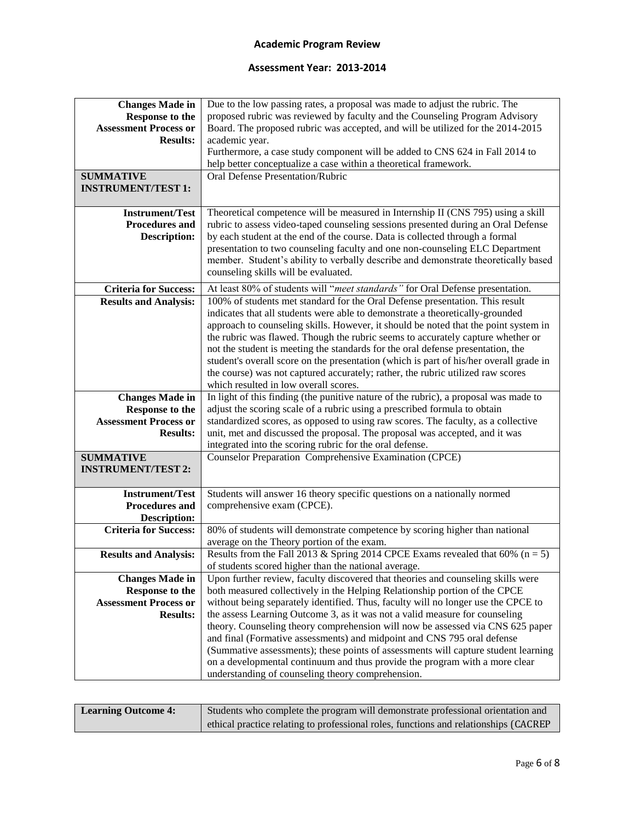| <b>Changes Made in</b>                                 | Due to the low passing rates, a proposal was made to adjust the rubric. The                                                      |
|--------------------------------------------------------|----------------------------------------------------------------------------------------------------------------------------------|
| <b>Response to the</b>                                 | proposed rubric was reviewed by faculty and the Counseling Program Advisory                                                      |
| <b>Assessment Process or</b>                           | Board. The proposed rubric was accepted, and will be utilized for the 2014-2015                                                  |
| <b>Results:</b>                                        | academic year.                                                                                                                   |
|                                                        | Furthermore, a case study component will be added to CNS 624 in Fall 2014 to                                                     |
|                                                        | help better conceptualize a case within a theoretical framework.                                                                 |
| <b>SUMMATIVE</b>                                       | Oral Defense Presentation/Rubric                                                                                                 |
| <b>INSTRUMENT/TEST 1:</b>                              |                                                                                                                                  |
|                                                        |                                                                                                                                  |
| <b>Instrument/Test</b>                                 | Theoretical competence will be measured in Internship II (CNS 795) using a skill                                                 |
| <b>Procedures and</b>                                  | rubric to assess video-taped counseling sessions presented during an Oral Defense                                                |
| <b>Description:</b>                                    | by each student at the end of the course. Data is collected through a formal                                                     |
|                                                        | presentation to two counseling faculty and one non-counseling ELC Department                                                     |
|                                                        | member. Student's ability to verbally describe and demonstrate theoretically based                                               |
|                                                        | counseling skills will be evaluated.                                                                                             |
| <b>Criteria for Success:</b>                           | At least 80% of students will "meet standards" for Oral Defense presentation.                                                    |
| <b>Results and Analysis:</b>                           | 100% of students met standard for the Oral Defense presentation. This result                                                     |
|                                                        | indicates that all students were able to demonstrate a theoretically-grounded                                                    |
|                                                        | approach to counseling skills. However, it should be noted that the point system in                                              |
|                                                        | the rubric was flawed. Though the rubric seems to accurately capture whether or                                                  |
|                                                        | not the student is meeting the standards for the oral defense presentation, the                                                  |
|                                                        | student's overall score on the presentation (which is part of his/her overall grade in                                           |
|                                                        | the course) was not captured accurately; rather, the rubric utilized raw scores                                                  |
|                                                        | which resulted in low overall scores.                                                                                            |
| <b>Changes Made in</b>                                 | In light of this finding (the punitive nature of the rubric), a proposal was made to                                             |
|                                                        |                                                                                                                                  |
|                                                        | adjust the scoring scale of a rubric using a prescribed formula to obtain                                                        |
| <b>Response to the</b><br><b>Assessment Process or</b> | standardized scores, as opposed to using raw scores. The faculty, as a collective                                                |
| <b>Results:</b>                                        | unit, met and discussed the proposal. The proposal was accepted, and it was                                                      |
|                                                        | integrated into the scoring rubric for the oral defense.                                                                         |
| <b>SUMMATIVE</b>                                       | Counselor Preparation Comprehensive Examination (CPCE)                                                                           |
| <b>INSTRUMENT/TEST 2:</b>                              |                                                                                                                                  |
|                                                        |                                                                                                                                  |
| <b>Instrument/Test</b>                                 | Students will answer 16 theory specific questions on a nationally normed                                                         |
| <b>Procedures and</b>                                  | comprehensive exam (CPCE).                                                                                                       |
| <b>Description:</b>                                    |                                                                                                                                  |
| <b>Criteria for Success:</b>                           | 80% of students will demonstrate competence by scoring higher than national                                                      |
|                                                        | average on the Theory portion of the exam.                                                                                       |
| <b>Results and Analysis:</b>                           | Results from the Fall 2013 & Spring 2014 CPCE Exams revealed that 60% ( $n = 5$ )                                                |
|                                                        | of students scored higher than the national average.                                                                             |
| <b>Changes Made in</b>                                 | Upon further review, faculty discovered that theories and counseling skills were                                                 |
| <b>Response to the</b>                                 | both measured collectively in the Helping Relationship portion of the CPCE                                                       |
| <b>Assessment Process or</b>                           | without being separately identified. Thus, faculty will no longer use the CPCE to                                                |
| <b>Results:</b>                                        | the assess Learning Outcome 3, as it was not a valid measure for counseling                                                      |
|                                                        | theory. Counseling theory comprehension will now be assessed via CNS 625 paper                                                   |
|                                                        | and final (Formative assessments) and midpoint and CNS 795 oral defense                                                          |
|                                                        | (Summative assessments); these points of assessments will capture student learning                                               |
|                                                        | on a developmental continuum and thus provide the program with a more clear<br>understanding of counseling theory comprehension. |

| <b>Learning Outcome 4:</b> | Students who complete the program will demonstrate professional orientation and       |
|----------------------------|---------------------------------------------------------------------------------------|
|                            | ethical practice relating to professional roles, functions and relationships (CACREP) |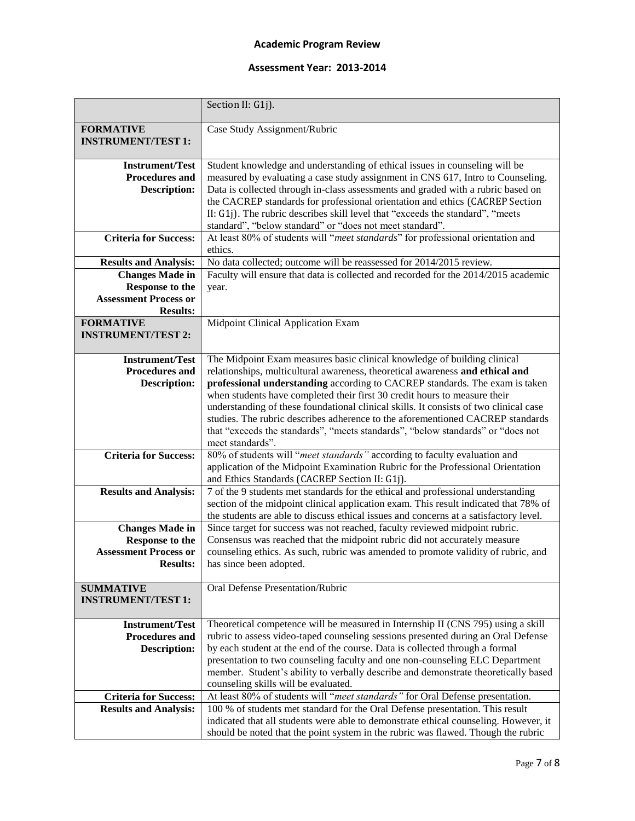|                                                 | Section II: G1j).                                                                                                                                            |
|-------------------------------------------------|--------------------------------------------------------------------------------------------------------------------------------------------------------------|
| <b>FORMATIVE</b>                                | Case Study Assignment/Rubric                                                                                                                                 |
| <b>INSTRUMENT/TEST 1:</b>                       |                                                                                                                                                              |
|                                                 |                                                                                                                                                              |
| <b>Instrument/Test</b>                          | Student knowledge and understanding of ethical issues in counseling will be                                                                                  |
| <b>Procedures and</b>                           | measured by evaluating a case study assignment in CNS 617, Intro to Counseling.                                                                              |
| <b>Description:</b>                             | Data is collected through in-class assessments and graded with a rubric based on                                                                             |
|                                                 | the CACREP standards for professional orientation and ethics (CACREP Section                                                                                 |
|                                                 | II: G1j). The rubric describes skill level that "exceeds the standard", "meets                                                                               |
|                                                 | standard", "below standard" or "does not meet standard".                                                                                                     |
| <b>Criteria for Success:</b>                    | At least 80% of students will "meet standards" for professional orientation and                                                                              |
|                                                 | ethics.                                                                                                                                                      |
| <b>Results and Analysis:</b>                    | No data collected; outcome will be reassessed for 2014/2015 review.                                                                                          |
| <b>Changes Made in</b>                          | Faculty will ensure that data is collected and recorded for the 2014/2015 academic                                                                           |
| <b>Response to the</b>                          | year.                                                                                                                                                        |
| <b>Assessment Process or</b>                    |                                                                                                                                                              |
| <b>Results:</b>                                 |                                                                                                                                                              |
| <b>FORMATIVE</b>                                | Midpoint Clinical Application Exam                                                                                                                           |
| <b>INSTRUMENT/TEST 2:</b>                       |                                                                                                                                                              |
|                                                 |                                                                                                                                                              |
| <b>Instrument/Test</b><br><b>Procedures and</b> | The Midpoint Exam measures basic clinical knowledge of building clinical                                                                                     |
|                                                 | relationships, multicultural awareness, theoretical awareness and ethical and<br>professional understanding according to CACREP standards. The exam is taken |
| <b>Description:</b>                             | when students have completed their first 30 credit hours to measure their                                                                                    |
|                                                 | understanding of these foundational clinical skills. It consists of two clinical case                                                                        |
|                                                 | studies. The rubric describes adherence to the aforementioned CACREP standards                                                                               |
|                                                 | that "exceeds the standards", "meets standards", "below standards" or "does not                                                                              |
|                                                 | meet standards".                                                                                                                                             |
| <b>Criteria for Success:</b>                    | 80% of students will "meet standards" according to faculty evaluation and                                                                                    |
|                                                 | application of the Midpoint Examination Rubric for the Professional Orientation                                                                              |
|                                                 | and Ethics Standards (CACREP Section II: G1j).                                                                                                               |
| <b>Results and Analysis:</b>                    | 7 of the 9 students met standards for the ethical and professional understanding                                                                             |
|                                                 | section of the midpoint clinical application exam. This result indicated that 78% of                                                                         |
|                                                 | the students are able to discuss ethical issues and concerns at a satisfactory level.                                                                        |
| <b>Changes Made in</b>                          | Since target for success was not reached, faculty reviewed midpoint rubric.                                                                                  |
| <b>Response to the</b>                          | Consensus was reached that the midpoint rubric did not accurately measure                                                                                    |
| <b>Assessment Process or</b>                    | counseling ethics. As such, rubric was amended to promote validity of rubric, and                                                                            |
| <b>Results:</b>                                 | has since been adopted.                                                                                                                                      |
|                                                 |                                                                                                                                                              |
| <b>SUMMATIVE</b>                                | Oral Defense Presentation/Rubric                                                                                                                             |
| <b>INSTRUMENT/TEST 1:</b>                       |                                                                                                                                                              |
|                                                 |                                                                                                                                                              |
| <b>Instrument/Test</b>                          | Theoretical competence will be measured in Internship II (CNS 795) using a skill                                                                             |
| <b>Procedures and</b>                           | rubric to assess video-taped counseling sessions presented during an Oral Defense                                                                            |
| <b>Description:</b>                             | by each student at the end of the course. Data is collected through a formal                                                                                 |
|                                                 | presentation to two counseling faculty and one non-counseling ELC Department                                                                                 |
|                                                 | member. Student's ability to verbally describe and demonstrate theoretically based                                                                           |
| <b>Criteria for Success:</b>                    | counseling skills will be evaluated.<br>At least 80% of students will "meet standards" for Oral Defense presentation.                                        |
| <b>Results and Analysis:</b>                    | 100 % of students met standard for the Oral Defense presentation. This result                                                                                |
|                                                 | indicated that all students were able to demonstrate ethical counseling. However, it                                                                         |
|                                                 | should be noted that the point system in the rubric was flawed. Though the rubric                                                                            |